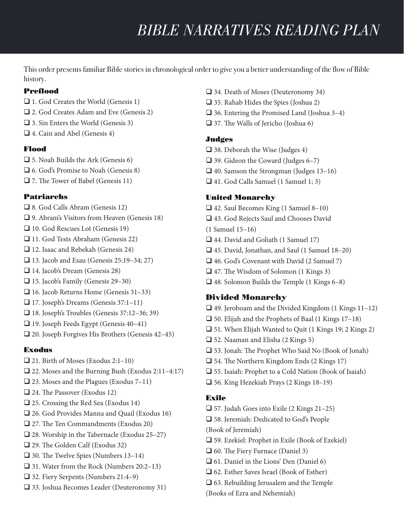# *BIBLE NARRATIVES READING PLAN*

This order presents familiar Bible stories in chronological order to give you a better understanding of the flow of Bible history.

## Preflood

- $\Box$  1. God Creates the World (Genesis 1)
- $\Box$  2. God Creates Adam and Eve (Genesis 2)
- $\Box$  3. Sin Enters the World (Genesis 3)
- $\Box$  4. Cain and Abel (Genesis 4)

### Flood

- $\Box$  5. Noah Builds the Ark (Genesis 6)
- $\Box$  6. God's Promise to Noah (Genesis 8)
- $\Box$  7. The Tower of Babel (Genesis 11)

### Patriarchs

- $\Box$  8. God Calls Abram (Genesis 12)
- $\Box$  9. Abram's Visitors from Heaven (Genesis 18)
- $\Box$  10. God Rescues Lot (Genesis 19)
- $\Box$  11. God Tests Abraham (Genesis 22)
- $\Box$  12. Isaac and Rebekah (Genesis 24)
- $\Box$  13. Jacob and Esau (Genesis 25:19–34; 27)
- □ 14. Jacob's Dream (Genesis 28)
- $\Box$  15. Jacob's Family (Genesis 29–30)
- $\Box$  16. Jacob Returns Home (Genesis 31–33)
- $\Box$  17. Joseph's Dreams (Genesis 37:1–11)
- $\Box$  18. Joseph's Troubles (Genesis 37:12–36; 39)
- $\Box$  19. Joseph Feeds Egypt (Genesis 40–41)
- $\Box$  20. Joseph Forgives His Brothers (Genesis 42–45)

#### Exodus

- $\Box$  21. Birth of Moses (Exodus 2:1–10)
- $\Box$  22. Moses and the Burning Bush (Exodus 2:11–4:17)
- $\Box$  23. Moses and the Plagues (Exodus 7–11)
- $\Box$  24. The Passover (Exodus 12)
- $\Box$  25. Crossing the Red Sea (Exodus 14)
- $\square$  26. God Provides Manna and Quail (Exodus 16)
- $\Box$  27. The Ten Commandments (Exodus 20)
- $\Box$  28. Worship in the Tabernacle (Exodus 25–27)
- $\Box$  29. The Golden Calf (Exodus 32)
- $\Box$  30. The Twelve Spies (Numbers 13–14)
- $\Box$  31. Water from the Rock (Numbers 20:2–13)
- $\Box$  32. Fiery Serpents (Numbers 21:4–9)
- $\square$  33. Joshua Becomes Leader (Deuteronomy 31)
- $\Box$  34. Death of Moses (Deuteronomy 34)
- $\Box$  35. Rahab Hides the Spies (Joshua 2)
- $\Box$  36. Entering the Promised Land (Joshua 3–4)
- $\Box$  37. The Walls of Jericho (Joshua 6)

### Judges

- $\Box$  38. Deborah the Wise (Judges 4)
- $\Box$  39. Gideon the Coward (Judges 6–7)
- $\Box$  40. Samson the Strongman (Judges 13–16)
- $\Box$  41. God Calls Samuel (1 Samuel 1; 3)

### United Monarchy

- $\Box$  42. Saul Becomes King (1 Samuel 8–10)
- $\Box$  43. God Rejects Saul and Chooses David
- (1 Samuel 15–16)
- $\Box$  44. David and Goliath (1 Samuel 17)
- $\Box$  45. David, Jonathan, and Saul (1 Samuel 18–20)
- $\Box$  46. God's Covenant with David (2 Samuel 7)
- $\Box$  47. The Wisdom of Solomon (1 Kings 3)
- $\Box$  48. Solomon Builds the Temple (1 Kings 6–8)

## Divided Monarchy

- $\Box$  49. Jeroboam and the Divided Kingdom (1 Kings 11–12)
- $\Box$  50. Elijah and the Prophets of Baal (1 Kings 17–18)
- $\Box$  51. When Elijah Wanted to Quit (1 Kings 19; 2 Kings 2)
- $\Box$  52. Naaman and Elisha (2 Kings 5)
- $\square$  53. Jonah: The Prophet Who Said No (Book of Jonah)
- $\Box$  54. The Northern Kingdom Ends (2 Kings 17)
- $\square$  55. Isaiah: Prophet to a Cold Nation (Book of Isaiah)
- $\Box$  56. King Hezekiah Prays (2 Kings 18–19)

## Exile

- $\Box$  57. Judah Goes into Exile (2 Kings 21–25)
- $\square$  58. Jeremiah: Dedicated to God's People
- (Book of Jeremiah)
- $\square$  59. Ezekiel: Prophet in Exile (Book of Ezekiel)
- $\Box$  60. The Fiery Furnace (Daniel 3)
- $\Box$  61. Daniel in the Lions' Den (Daniel 6)
- $\Box$  62. Esther Saves Israel (Book of Esther)
- $\square$  63. Rebuilding Jerusalem and the Temple
- (Books of Ezra and Nehemiah)